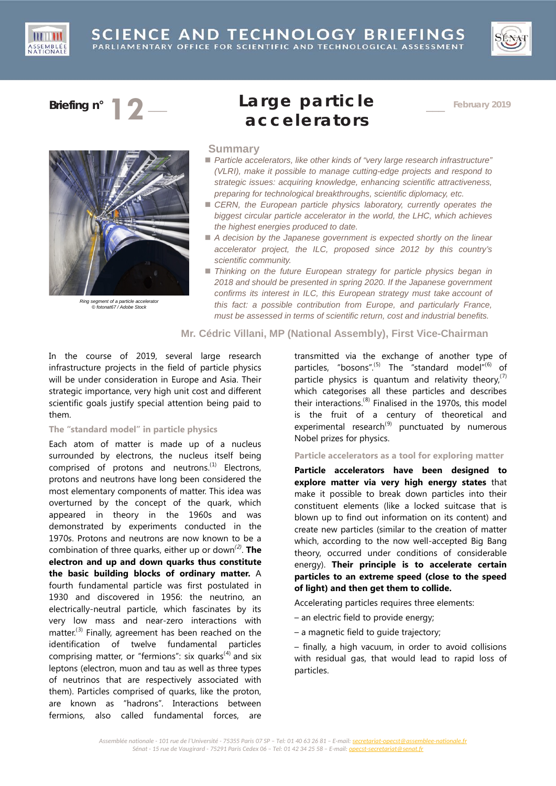





*Ring segment of a particle accelerator © fotonat67 / Adobe Stock*

# **Briefing n° 12** \_\_\_ **Large particle accelerators**

\_\_\_ **February 2019**

#### **Summary**

- *Particle accelerators, like other kinds of "very large research infrastructure" (VLRI), make it possible to manage cutting-edge projects and respond to strategic issues: acquiring knowledge, enhancing scientific attractiveness, preparing for technological breakthroughs, scientific diplomacy, etc.*
- CERN, the European particle physics laboratory, currently operates the *biggest circular particle accelerator in the world, the LHC, which achieves the highest energies produced to date.*
- A decision by the Japanese government is expected shortly on the linear *accelerator project, the ILC, proposed since 2012 by this country's scientific community.*
- *Thinking on the future European strategy for particle physics began in 2018 and should be presented in spring 2020. If the Japanese government confirms its interest in ILC, this European strategy must take account of this fact: a possible contribution from Europe, and particularly France, must be assessed in terms of scientific return, cost and industrial benefits.*

# **Mr. Cédric Villani, MP (National Assembly), First Vice-Chairman**

In the course of 2019, several large research infrastructure projects in the field of particle physics will be under consideration in Europe and Asia. Their strategic importance, very high unit cost and different scientific goals justify special attention being paid to them.

# **The "standard model" in particle physics**

Each atom of matter is made up of a nucleus surrounded by electrons, the nucleus itself being comprised of protons and neutrons.<sup>([1](#page-3-0))</sup> Electrons, protons and neutrons have long been considered the most elementary components of matter. This idea was overturned by the concept of the quark, which appeared in theory in the 1960s and was demonstrated by experiments conducted in the 1970s. Protons and neutrons are now known to be a combination of three quarks, either up or down*([2](#page-3-1))* . **The electron and up and down quarks thus constitute the basic building blocks of ordinary matter.** A fourth fundamental particle was first postulated in 1930 and discovered in 1956: the neutrino, an electrically-neutral particle, which fascinates by its very low mass and near-zero interactions with matter.<sup>([3\)](#page-3-2)</sup> Finally, agreement has been reached on the identification of twelve fundamental particles comprising matter, or "fermions": six quarks $(4)$  $(4)$  $(4)$  and six leptons (electron, muon and tau as well as three types of neutrinos that are respectively associated with them). Particles comprised of quarks, like the proton, are known as "hadrons". Interactions between fermions, also called fundamental forces, are

transmitted via the exchange of another type of particles, "bosons".<sup>[\(5\)](#page-4-0)</sup> The "standard model"<sup>([6\)](#page-4-1)</sup> of particle physics is quantum and relativity theory,<sup>([7](#page-4-2))</sup> which categorises all these particles and describes their interactions.<sup>([8](#page-4-3))</sup> Finalised in the 1970s, this model is the fruit of a century of theoretical and experimental research<sup>([9\)](#page-4-4)</sup> punctuated by numerous Nobel prizes for physics.

#### **Particle accelerators as a tool for exploring matter**

**Particle accelerators have been designed to explore matter via very high energy states** that make it possible to break down particles into their constituent elements (like a locked suitcase that is blown up to find out information on its content) and create new particles (similar to the creation of matter which, according to the now well-accepted Big Bang theory, occurred under conditions of considerable energy). **Their principle is to accelerate certain particles to an extreme speed (close to the speed of light) and then get them to collide.**

Accelerating particles requires three elements:

- an electric field to provide energy;
- a magnetic field to guide trajectory;

– finally, a high vacuum, in order to avoid collisions with residual gas, that would lead to rapid loss of particles.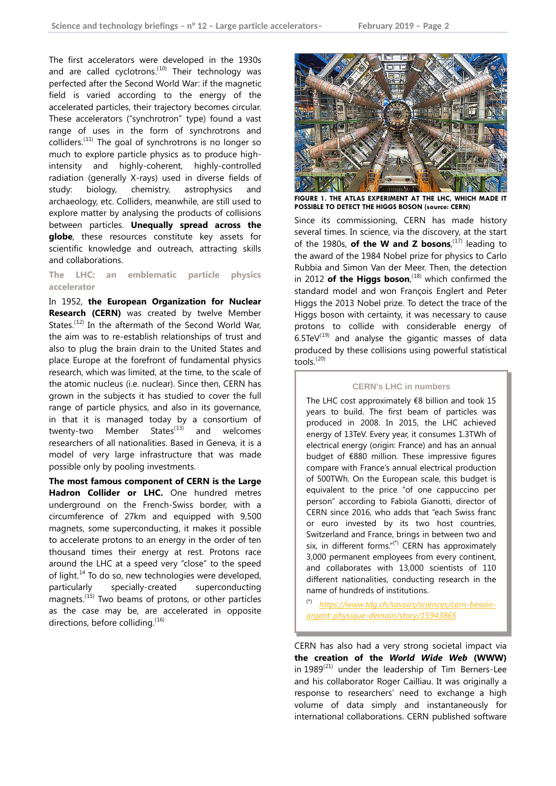The first accelerators were developed in the 1930s and are called cyclotrons.<sup>([10\)](#page-5-0)</sup> Their technology was perfected after the Second World War: if the magnetic field is varied according to the energy of the accelerated particles, their trajectory becomes circular. These accelerators ("synchrotron" type) found a vast range of uses in the form of synchrotrons and colliders. $(11)$  $(11)$  $(11)$  The goal of synchrotrons is no longer so much to explore particle physics as to produce highintensity and highly-coherent, highly-controlled radiation (generally X-rays) used in diverse fields of study: biology, chemistry, astrophysics and archaeology, etc. Colliders, meanwhile, are still used to explore matter by analysing the products of collisions between particles. **Unequally spread across the globe**, these resources constitute key assets for scientific knowledge and outreach, attracting skills and collaborations.

## **The LHC: an emblematic particle physics accelerator**

In 1952, **the European Organization for Nuclear Research (CERN)** was created by twelve Member States.<sup>([12](#page-5-2))</sup> In the aftermath of the Second World War, the aim was to re-establish relationships of trust and also to plug the brain drain to the United States and place Europe at the forefront of fundamental physics research, which was limited, at the time, to the scale of the atomic nucleus (i.e. nuclear). Since then, CERN has grown in the subjects it has studied to cover the full range of particle physics, and also in its governance, in that it is managed today by a consortium of twenty-two Member States $^{(13)}$  $^{(13)}$  $^{(13)}$  and welcomes researchers of all nationalities. Based in Geneva, it is a model of very large infrastructure that was made possible only by pooling investments.

**The most famous component of CERN is the Large Hadron Collider or LHC.** One hundred metres underground on the French-Swiss border, with a circumference of 27km and equipped with 9,500 magnets, some superconducting, it makes it possible to accelerate protons to an energy in the order of ten thousand times their energy at rest. Protons race around the LHC at a speed very "close" to the speed of light.<sup>[14](#page-5-4)</sup> To do so, new technologies were developed, particularly specially-created superconducting magnets.<sup>([15](#page-5-5))</sup> Two beams of protons, or other particles as the case may be, are accelerated in opposite directions, before colliding. ([16](#page-5-6))



**FIGURE 1. THE ATLAS EXPERIMENT AT THE LHC, WHICH MADE IT POSSIBLE TO DETECT THE HIGGS BOSON (source: CERN)**

Since its commissioning, CERN has made history several times. In science, via the discovery, at the start of the 1980s, **of the W and Z bosons**,<sup>([17\)](#page-6-0)</sup> leading to the award of the 1984 Nobel prize for physics to Carlo Rubbia and Simon Van der Meer. Then, the detection in 2012 of the Higgs boson,<sup>([18\)](#page-6-1)</sup> which confirmed the standard model and won François Englert and Peter Higgs the 2013 Nobel prize. To detect the trace of the Higgs boson with certainty, it was necessary to cause protons to collide with considerable energy of  $6.5$ TeV $^{(19)}$  $^{(19)}$  $^{(19)}$  and analyse the gigantic masses of data produced by these collisions using powerful statistical tools.<sup>([20\)](#page-6-3)</sup>

#### **CERN's LHC in numbers**

The LHC cost approximately  $€8$  billion and took 15 years to build. The first beam of particles was produced in 2008. In 2015, the LHC achieved energy of 13TeV. Every year, it consumes 1.3TWh of electrical energy (origin: France) and has an annual budget of €880 million. These impressive figures compare with France's annual electrical production of 500TWh. On the European scale, this budget is equivalent to the price "of one cappuccino per person" according to Fabiola Gianotti, director of CERN since 2016, who adds that "each Swiss franc or euro invested by its two host countries, Switzerland and France, brings in between two and six, in different forms." $(*)$  CERN has approximately 3,000 permanent employees from every continent, and collaborates with 13,000 scientists of 110 different nationalities, conducting research in the name of hundreds of institutions.

(\*) *[https://www.tdg.ch/savoirs/sciences/cern-besoin](https://www.tdg.ch/savoirs/sciences/cern-besoin-argent-physique-demain/story/15943865)[argent-physique-demain/story/15943865](https://www.tdg.ch/savoirs/sciences/cern-besoin-argent-physique-demain/story/15943865)*

CERN has also had a very strong societal impact via **the creation of the** *World Wide Web* **(WWW)**  in  $1989^{(21)}$  $1989^{(21)}$  $1989^{(21)}$  under the leadership of Tim Berners-Lee and his collaborator Roger Cailliau. It was originally a response to researchers' need to exchange a high volume of data simply and instantaneously for international collaborations. CERN published software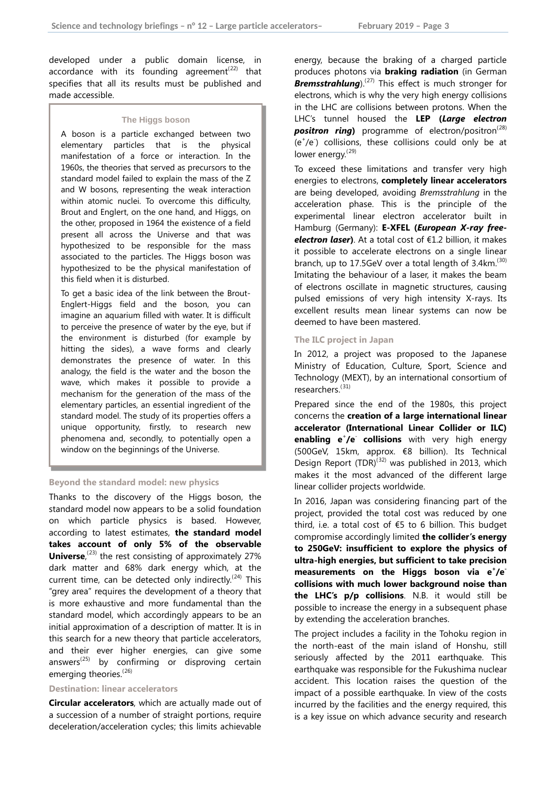developed under a public domain license, in accordance with its founding agreement<sup> $(22)$  $(22)$  $(22)$ </sup> that specifies that all its results must be published and made accessible.

#### **The Higgs boson**

A boson is a particle exchanged between two elementary particles that is the physical manifestation of a force or interaction. In the 1960s, the theories that served as precursors to the standard model failed to explain the mass of the Z and W bosons, representing the weak interaction within atomic nuclei. To overcome this difficulty, Brout and Englert, on the one hand, and Higgs, on the other, proposed in 1964 the existence of a field present all across the Universe and that was hypothesized to be responsible for the mass associated to the particles. The Higgs boson was hypothesized to be the physical manifestation of this field when it is disturbed.

To get a basic idea of the link between the Brout-Englert-Higgs field and the boson, you can imagine an aquarium filled with water. It is difficult to perceive the presence of water by the eye, but if the environment is disturbed (for example by hitting the sides), a wave forms and clearly demonstrates the presence of water. In this analogy, the field is the water and the boson the wave, which makes it possible to provide a mechanism for the generation of the mass of the elementary particles, an essential ingredient of the standard model. The study of its properties offers a unique opportunity, firstly, to research new phenomena and, secondly, to potentially open a window on the beginnings of the Universe.

#### **Beyond the standard model: new physics**

Thanks to the discovery of the Higgs boson, the standard model now appears to be a solid foundation on which particle physics is based. However, according to latest estimates, **the standard model takes account of only 5% of the observable**  Universe,<sup>([23\)](#page-7-1)</sup> the rest consisting of approximately 27% dark matter and 68% dark energy which, at the current time, can be detected only indirectly.<sup> $(24)$  $(24)$  $(24)$ </sup> This "grey area" requires the development of a theory that is more exhaustive and more fundamental than the standard model, which accordingly appears to be an initial approximation of a description of matter. It is in this search for a new theory that particle accelerators, and their ever higher energies, can give some answers<sup> $(25)$  $(25)$ </sup> by confirming or disproving certain emerging theories.<sup>([26\)](#page-7-4)</sup>

# **Destination: linear accelerators**

**Circular accelerators**, which are actually made out of a succession of a number of straight portions, require deceleration/acceleration cycles; this limits achievable

energy, because the braking of a charged particle produces photons via **braking radiation** (in German *Bremsstrahlung*). ([27](#page-7-5)) This effect is much stronger for electrons, which is why the very high energy collisions in the LHC are collisions between protons. When the LHC's tunnel housed the **LEP (***Large electron*  **positron ring)** programme of electron/positron<sup>([28](#page-7-6))</sup> (e+ /e- ) collisions, these collisions could only be at lower energy.<sup>([29\)](#page-7-7)</sup>

To exceed these limitations and transfer very high energies to electrons, **completely linear accelerators** are being developed, avoiding *Bremsstrahlung* in the acceleration phase. This is the principle of the experimental linear electron accelerator built in Hamburg (Germany): **E-XFEL (***European X-ray freeelectron laser***)**. At a total cost of €1.2 billion, it makes it possible to accelerate electrons on a single linear branch, up to  $17.5$ GeV over a total length of  $3.4$ km.<sup>([30](#page-7-8))</sup> Imitating the behaviour of a laser, it makes the beam of electrons oscillate in magnetic structures, causing pulsed emissions of very high intensity X-rays. Its excellent results mean linear systems can now be deemed to have been mastered.

#### **The ILC project in Japan**

In 2012, a project was proposed to the Japanese Ministry of Education, Culture, Sport, Science and Technology (MEXT), by an international consortium of researchers.<sup>([31\)](#page-7-9)</sup>

Prepared since the end of the 1980s, this project concerns the **creation of a large international linear accelerator (International Linear Collider or ILC) enabling e<sup>+</sup>/e<sup>-</sup> collisions** with very high energy (500GeV, 15km, approx. €8 billion). Its Technical Design Report  $(TDR)^{(32)}$  $(TDR)^{(32)}$  $(TDR)^{(32)}$  was published in 2013, which makes it the most advanced of the different large linear collider projects worldwide.

In 2016, Japan was considering financing part of the project, provided the total cost was reduced by one third, i.e. a total cost of €5 to 6 billion. This budget compromise accordingly limited **the collider's energy to 250GeV: insufficient to explore the physics of ultra-high energies, but sufficient to take precision**  measurements on the Higgs boson via e<sup>+</sup>/e<sup>-</sup> **collisions with much lower background noise than the LHC's p/p collisions**. N.B. it would still be possible to increase the energy in a subsequent phase by extending the acceleration branches.

The project includes a facility in the Tohoku region in the north-east of the main island of Honshu, still seriously affected by the 2011 earthquake. This earthquake was responsible for the Fukushima nuclear accident. This location raises the question of the impact of a possible earthquake. In view of the costs incurred by the facilities and the energy required, this is a key issue on which advance security and research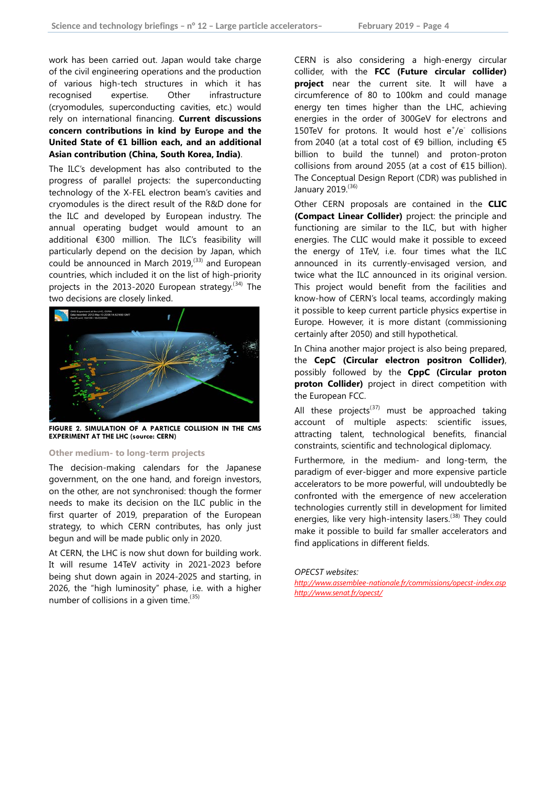<span id="page-3-1"></span><span id="page-3-0"></span>work has been carried out. Japan would take charge of the civil engineering operations and the production of various high-tech structures in which it has recognised expertise. Other infrastructure (cryomodules, superconducting cavities, etc.) would rely on international financing. **Current discussions concern contributions in kind by Europe and the United State of €1 billion each, and an additional Asian contribution (China, South Korea, India)**.

<span id="page-3-3"></span><span id="page-3-2"></span>The ILC's development has also contributed to the progress of parallel projects: the superconducting technology of the X-FEL electron beam's cavities and cryomodules is the direct result of the R&D done for the ILC and developed by European industry. The annual operating budget would amount to an additional €300 million. The ILC's feasibility will particularly depend on the decision by Japan, which could be announced in March  $2019<sub>1</sub><sup>(33)</sup>$  $2019<sub>1</sub><sup>(33)</sup>$  $2019<sub>1</sub><sup>(33)</sup>$  and European countries, which included it on the list of high-priority projects in the 2013-2020 European strategy.<sup>([34](#page-7-12))</sup> The two decisions are closely linked.



**FIGURE 2. SIMULATION OF A PARTICLE COLLISION IN THE CMS EXPERIMENT AT THE LHC (source: CERN)**

#### **Other medium- to long-term projects**

The decision-making calendars for the Japanese government, on the one hand, and foreign investors, on the other, are not synchronised: though the former needs to make its decision on the ILC public in the first quarter of 2019, preparation of the European strategy, to which CERN contributes, has only just begun and will be made public only in 2020.

At CERN, the LHC is now shut down for building work. It will resume 14TeV activity in 2021-2023 before being shut down again in 2024-2025 and starting, in 2026, the "high luminosity" phase, i.e. with a higher number of collisions in a given time.<sup>([35](#page-7-13))</sup>

CERN is also considering a high-energy circular collider, with the **FCC (Future circular collider) project** near the current site. It will have a circumference of 80 to 100km and could manage energy ten times higher than the LHC, achieving energies in the order of 300GeV for electrons and 150TeV for protons. It would host  $e^+ / e^-$  collisions from 2040 (at a total cost of €9 billion, including €5 billion to build the tunnel) and proton-proton collisions from around 2055 (at a cost of €15 billion). The Conceptual Design Report (CDR) was published in January 2019.<sup>([36](#page-7-14))</sup>

Other CERN proposals are contained in the **CLIC (Compact Linear Collider)** project: the principle and functioning are similar to the ILC, but with higher energies. The CLIC would make it possible to exceed the energy of 1TeV, i.e. four times what the ILC announced in its currently-envisaged version, and twice what the ILC announced in its original version. This project would benefit from the facilities and know-how of CERN's local teams, accordingly making it possible to keep current particle physics expertise in Europe. However, it is more distant (commissioning certainly after 2050) and still hypothetical.

In China another major project is also being prepared, the **CepC (Circular electron positron Collider)**, possibly followed by the **CppC (Circular proton proton Collider)** project in direct competition with the European FCC.

All these projects<sup>([37](#page-7-15))</sup> must be approached taking account of multiple aspects: scientific issues, attracting talent, technological benefits, financial constraints, scientific and technological diplomacy.

Furthermore, in the medium- and long-term, the paradigm of ever-bigger and more expensive particle accelerators to be more powerful, will undoubtedly be confronted with the emergence of new acceleration technologies currently still in development for limited energies, like very high-intensity lasers.<sup>([38\)](#page-7-16)</sup> They could make it possible to build far smaller accelerators and find applications in different fields.

*OPECST websites:*

*<http://www.assemblee-nationale.fr/commissions/opecst-index.asp> <http://www.senat.fr/opecst/>*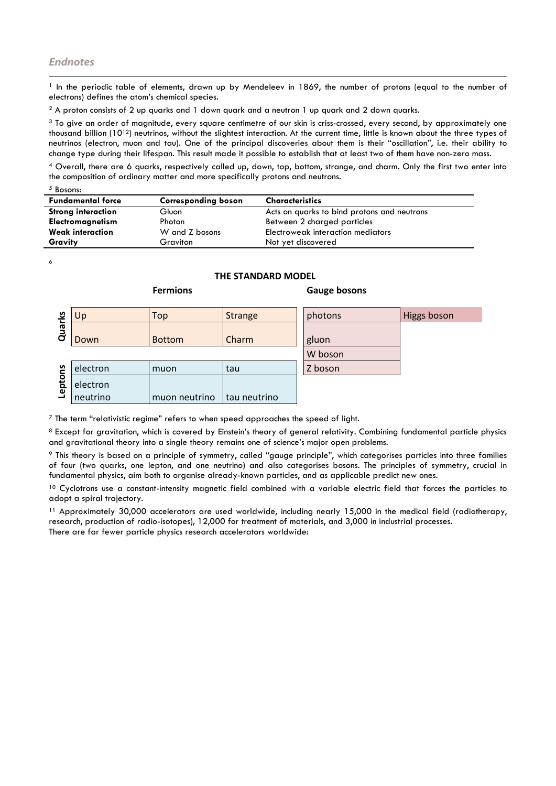<sup>1</sup> In the periodic table of elements, drawn up by Mendeleev in 1869, the number of protons (equal to the number of electrons) defines the atom's chemical species. l

<sup>2</sup> A proton consists of 2 up quarks and 1 down quark and a neutron 1 up quark and 2 down quarks.

 $3$  To give an order of magnitude, every square centimetre of our skin is criss-crossed, every second, by approximately one thousand billion  $(10^{12})$  neutrinos, without the slightest interaction. At the current time, little is known about the three types of neutrinos (electron, muon and tau). One of the principal discoveries about them is their "oscillation", i.e. their ability to change type during their lifespan. This result made it possible to establish that at least two of them have non-zero mass.

<sup>4</sup> Overall, there are 6 quarks, respectively called up, down, top, bottom, strange, and charm. Only the first two enter into the composition of ordinary matter and more specifically protons and neutrons.

| Bosons: |
|---------|
|---------|

<span id="page-4-0"></span>

| <b>Fundamental force</b>  | <b>Corresponding boson</b> | <b>Characteristics</b>                      |
|---------------------------|----------------------------|---------------------------------------------|
| <b>Strong interaction</b> | Gluon                      | Acts on quarks to bind protons and neutrons |
| <b>Electromagnetism</b>   | Photon                     | Between 2 charged particles                 |
| <b>Weak interaction</b>   | W and Z bosons             | Electroweak interaction mediators           |
| Gravity                   | Graviton                   | Not yet discovered                          |

<span id="page-4-1"></span>6

# **THE STANDARD MODEL**

| ೨    | Up       | Top           | <b>Strange</b> | photons | Higgs boson |
|------|----------|---------------|----------------|---------|-------------|
| Quar | Down     | <b>Bottom</b> | Charm          | gluon   |             |
|      |          |               |                | W boson |             |
| ဥ    | electron | muon          | tau            | Z boson |             |
| pto  | electron |               |                |         |             |
| ୕୶   | neutrino | muon neutrino | tau neutrino   |         |             |

#### **Fermions Gauge bosons**

<span id="page-4-2"></span> $<sup>7</sup>$  The term "relativistic regime" refers to when speed approaches the speed of light.</sup>

<span id="page-4-3"></span>8 Except for gravitation, which is covered by Einstein's theory of general relativity. Combining fundamental particle physics and gravitational theory into a single theory remains one of science's major open problems.

<span id="page-4-4"></span><sup>9</sup> This theory is based on a principle of symmetry, called "gauge principle", which categorises particles into three families of four (two quarks, one lepton, and one neutrino) and also categorises bosons. The principles of symmetry, crucial in fundamental physics, aim both to organise already-known particles, and as applicable predict new ones.

<sup>10</sup> Cyclotrons use a constant-intensity magnetic field combined with a variable electric field that forces the particles to adopt a spiral trajectory.

<sup>11</sup> Approximately 30,000 accelerators are used worldwide, including nearly 15,000 in the medical field (radiotherapy, research, production of radio-isotopes), 12,000 for treatment of materials, and 3,000 in industrial processes. There are far fewer particle physics research accelerators worldwide: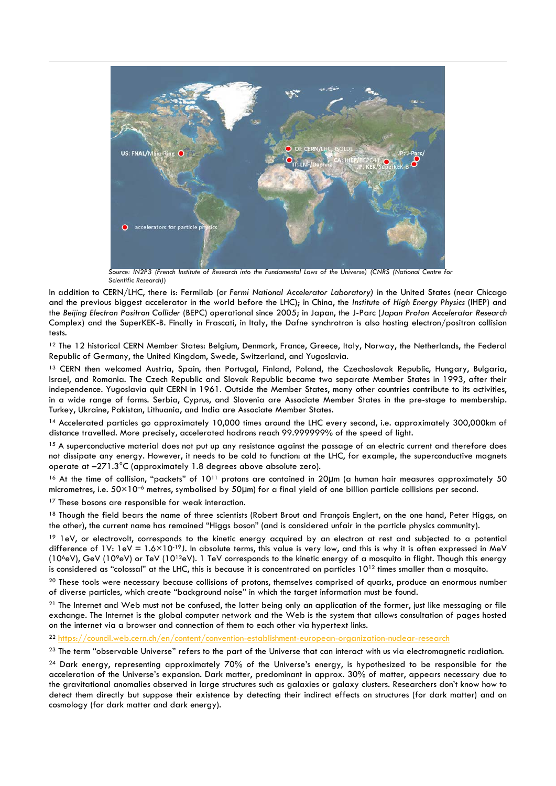

*Source: IN2P3 (French Institute of Research into the Fundamental Laws of the Universe) (CNRS (National Centre for Scientific Research)*)

In addition to CERN/LHC, there is: Fermilab (or *Fermi National Accelerator Laboratory)* in the United States (near Chicago and the previous biggest accelerator in the world before the LHC); in China, the *Institute of High Energy Physics* (IHEP) and the *Beijing Electron Positron Collider* (BEPC) operational since 2005; in Japan, the J-Parc (*Japan Proton Accelerator Research*  Complex) and the SuperKEK-B. Finally in Frascati, in Italy, the Dafne synchrotron is also hosting electron/positron collision tests.

<span id="page-5-2"></span><sup>12</sup> The 12 historical CERN Member States: Belgium, Denmark, France, Greece, Italy, Norway, the Netherlands, the Federal Republic of Germany, the United Kingdom, Swede, Switzerland, and Yugoslavia.

<span id="page-5-3"></span><sup>13</sup> CERN then welcomed Austria, Spain, then Portugal, Finland, Poland, the Czechoslovak Republic, Hungary, Bulgaria, Israel, and Romania. The Czech Republic and Slovak Republic became two separate Member States in 1993, after their independence. Yugoslavia quit CERN in 1961. Outside the Member States, many other countries contribute to its activities, in a wide range of forms. Serbia, Cyprus, and Slovenia are Associate Member States in the pre-stage to membership. Turkey, Ukraine, Pakistan, Lithuania, and India are Associate Member States.

<span id="page-5-4"></span><sup>14</sup> Accelerated particles go approximately 10,000 times around the LHC every second, i.e. approximately 300,000km of distance travelled. More precisely, accelerated hadrons reach 99.999999% of the speed of light.

<span id="page-5-5"></span><sup>15</sup> A superconductive material does not put up any resistance against the passage of an electric current and therefore does not dissipate any energy. However, it needs to be cold to function: at the LHC, for example, the superconductive magnets operate at –271.3°C (approximately 1.8 degrees above absolute zero).

<span id="page-5-6"></span><span id="page-5-0"></span>16 At the time of collision, "packets" of 10<sup>11</sup> protons are contained in 20µm (a human hair measures approximately 50 micrometres, i.e.  $50\times10^{-6}$  metres, symbolised by  $50\mu$ m) for a final yield of one billion particle collisions per second.

<sup>17</sup> These bosons are responsible for weak interaction.

 $\overline{a}$ 

<span id="page-5-1"></span><sup>18</sup> Though the field bears the name of three scientists (Robert Brout and François Englert, on the one hand, Peter Higgs, on the other), the current name has remained "Higgs boson" (and is considered unfair in the particle physics community).

<sup>19</sup> 1eV, or electrovolt, corresponds to the kinetic energy acquired by an electron at rest and subjected to a potential difference of 1V:  $1eV = 1.6 \times 10^{-19}$ . In absolute terms, this value is very low, and this is why it is often expressed in MeV (10<sup>6</sup>eV), GeV (10<sup>9</sup>eV) or TeV (10<sup>12</sup>eV). 1 TeV corresponds to the kinetic energy of a mosquito in flight. Though this energy is considered as "colossal" at the LHC, this is because it is concentrated on particles  $10^{12}$  times smaller than a mosquito.

<sup>20</sup> These tools were necessary because collisions of protons, themselves comprised of quarks, produce an enormous number of diverse particles, which create "background noise" in which the target information must be found.

 $21$  The Internet and Web must not be confused, the latter being only an application of the former, just like messaging or file exchange. The Internet is the global computer network and the Web is the system that allows consultation of pages hosted on the internet via a browser and connection of them to each other via hypertext links.

<sup>22</sup> <https://council.web.cern.ch/en/content/convention-establishment-european-organization-nuclear-research>

<sup>23</sup> The term "observable Universe" refers to the part of the Universe that can interact with us via electromagnetic radiation.

<sup>24</sup> Dark energy, representing approximately 70% of the Universe's energy, is hypothesized to be responsible for the acceleration of the Universe's expansion. Dark matter, predominant in approx. 30% of matter, appears necessary due to the gravitational anomalies observed in large structures such as galaxies or galaxy clusters. Researchers don't know how to detect them directly but suppose their existence by detecting their indirect effects on structures (for dark matter) and on cosmology (for dark matter and dark energy).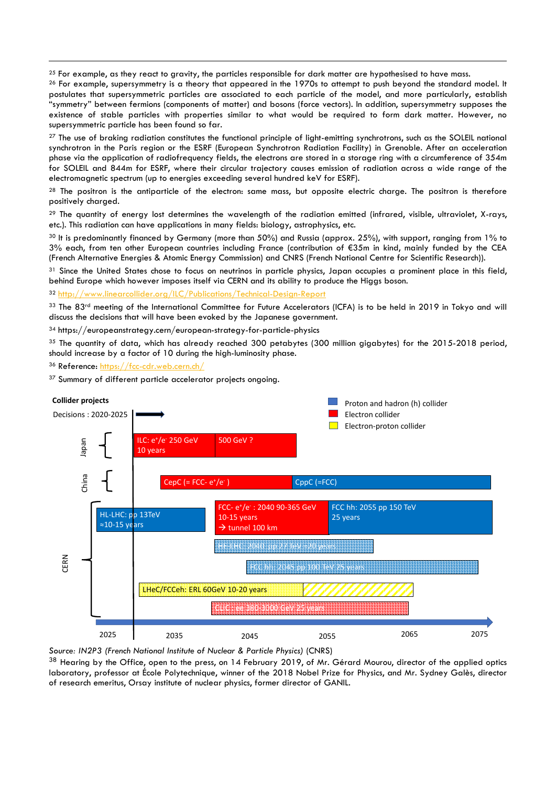$25$  For example, as they react to gravity, the particles responsible for dark matter are hypothesised to have mass.

 $26$  For example, supersymmetry is a theory that appeared in the 1970s to attempt to push beyond the standard model. It postulates that supersymmetric particles are associated to each particle of the model, and more particularly, establish "symmetry" between fermions (components of matter) and bosons (force vectors). In addition, supersymmetry supposes the existence of stable particles with properties similar to what would be required to form dark matter. However, no supersymmetric particle has been found so far.

<sup>27</sup> The use of braking radiation constitutes the functional principle of light-emitting synchrotrons, such as the SOLEIL national synchrotron in the Paris region or the ESRF (European Synchrotron Radiation Facility) in Grenoble. After an acceleration phase via the application of radiofrequency fields, the electrons are stored in a storage ring with a circumference of 354m for SOLEIL and 844m for ESRF, where their circular trajectory causes emission of radiation across a wide range of the electromagnetic spectrum (up to energies exceeding several hundred keV for ESRF).

<sup>28</sup> The positron is the antiparticle of the electron: same mass, but opposite electric charge. The positron is therefore positively charged.

<sup>29</sup> The quantity of energy lost determines the wavelength of the radiation emitted (infrared, visible, ultraviolet, X-rays, etc.). This radiation can have applications in many fields: biology, astrophysics, etc.

30 It is predominantly financed by Germany (more than 50%) and Russia (approx. 25%), with support, ranging from 1% to 3% each, from ten other European countries including France (contribution of €35m in kind, mainly funded by the CEA (French Alternative Energies & Atomic Energy Commission) and CNRS (French National Centre for Scientific Research)).

31 Since the United States chose to focus on neutrinos in particle physics, Japan occupies a prominent place in this field, behind Europe which however imposes itself via CERN and its ability to produce the Higgs boson.

<sup>32</sup> <http://www.linearcollider.org/ILC/Publications/Technical-Design-Report>

33 The 83rd meeting of the International Committee for Future Accelerators (ICFA) is to be held in 2019 in Tokyo and will discuss the decisions that will have been evoked by the Japanese government.

<sup>34</sup> https://europeanstrategy.cern/european-strategy-for-particle-physics

<sup>35</sup> The quantity of data, which has already reached 300 petabytes (300 million giagbytes) for the 2015-2018 period, should increase by a factor of 10 during the high-luminosity phase.

<sup>36</sup> Reference:<https://fcc-cdr.web.cern.ch/>

 $\overline{a}$ 

<sup>37</sup> Summary of different particle accelerator projects ongoing.

<span id="page-6-1"></span><span id="page-6-0"></span>

<span id="page-6-4"></span><span id="page-6-3"></span><span id="page-6-2"></span>*Source: IN2P3 (French National Institute of Nuclear & Particle Physics)* (CNRS)

38 Hearing by the Office, open to the press, on 14 February 2019, of Mr. Gérard Mourou, director of the applied optics laboratory, professor at École Polytechnique, winner of the 2018 Nobel Prize for Physics, and Mr. Sydney Galès, director of research emeritus, Orsay institute of nuclear physics, former director of GANIL.